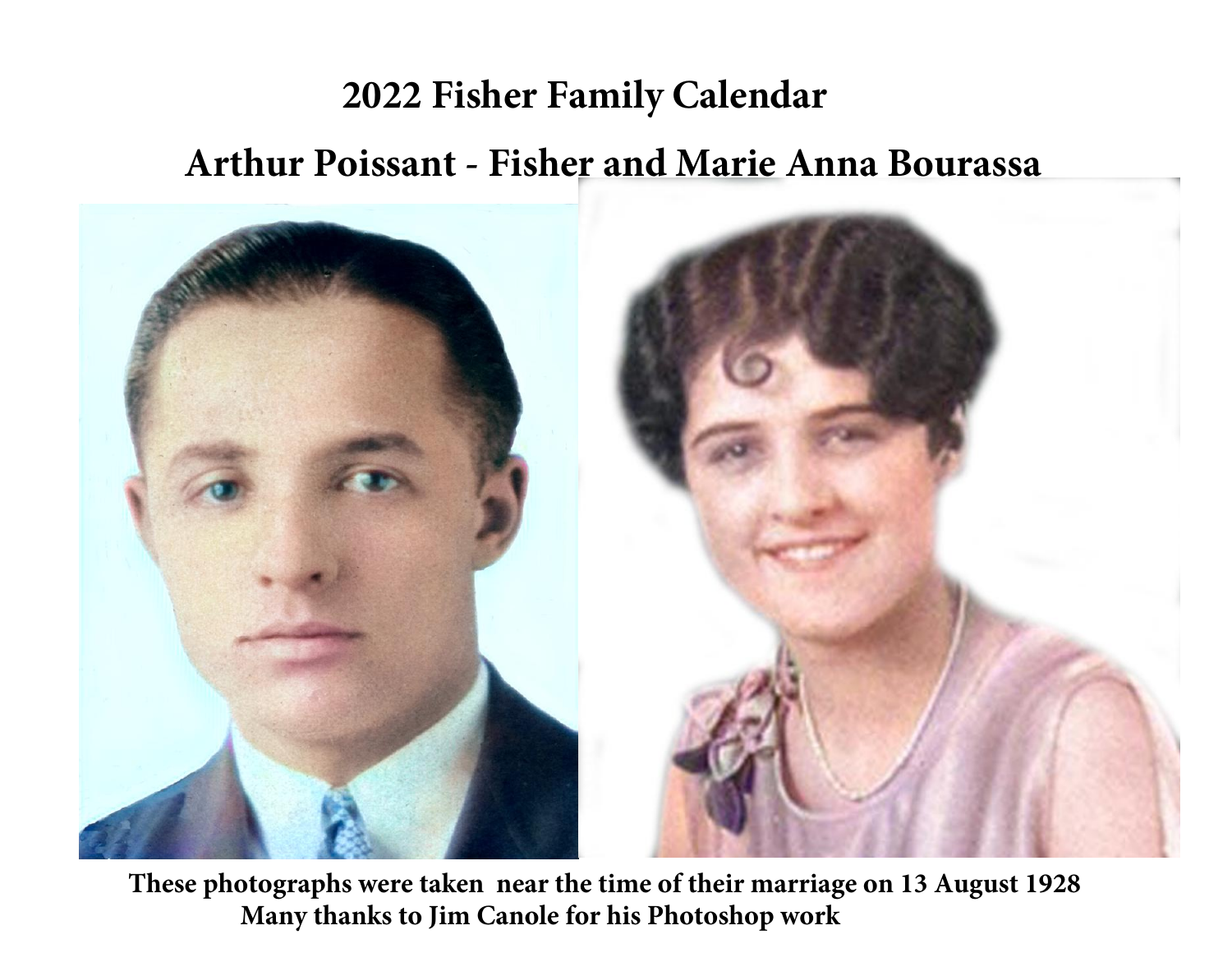# **2022 Fisher Family Calendar Arthur Poissant - Fisher and Marie Anna Bourassa**



 **These photographs were taken near the time of their marriage on 13 August 1928 Many thanks to Jim Canole for his Photoshop work**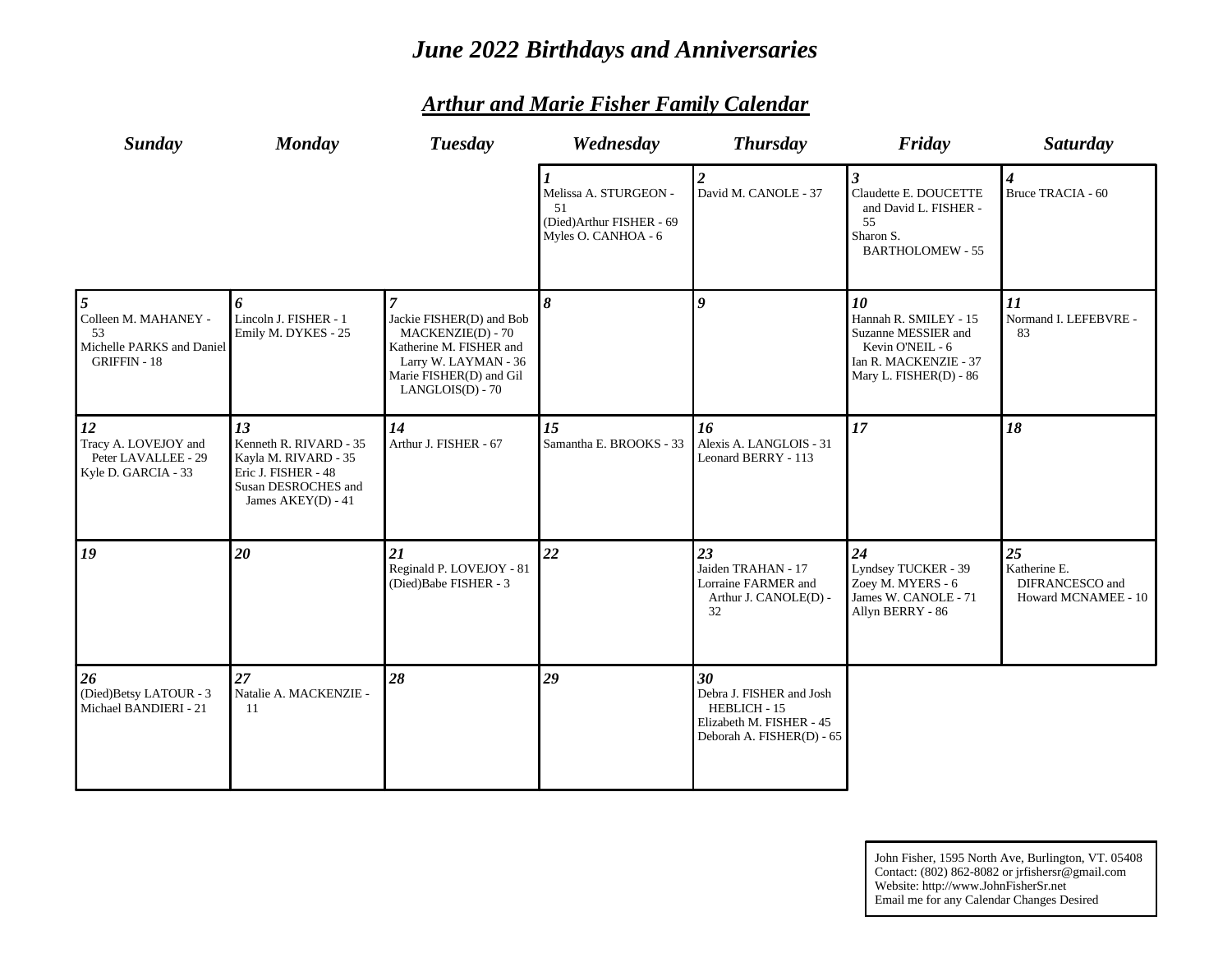# *June 2022 Birthdays and Anniversaries*

| Sunday                                                                         | <b>Monday</b>                                                                                                            | <b>Tuesday</b>                                                                                                                                         | Wednesday                                                                      | <b>Thursday</b>                                                                                         | Friday                                                                                                                    | Saturday                                                     |
|--------------------------------------------------------------------------------|--------------------------------------------------------------------------------------------------------------------------|--------------------------------------------------------------------------------------------------------------------------------------------------------|--------------------------------------------------------------------------------|---------------------------------------------------------------------------------------------------------|---------------------------------------------------------------------------------------------------------------------------|--------------------------------------------------------------|
|                                                                                |                                                                                                                          |                                                                                                                                                        | Melissa A. STURGEON -<br>51<br>(Died)Arthur FISHER - 69<br>Myles O. CANHOA - 6 | David M. CANOLE - 37                                                                                    | Claudette E. DOUCETTE<br>and David L. FISHER -<br>55<br>Sharon S.<br><b>BARTHOLOMEW - 55</b>                              | 4<br>Bruce TRACIA - 60                                       |
| Colleen M. MAHANEY -<br>53<br>Michelle PARKS and Daniel<br><b>GRIFFIN - 18</b> | 6<br>Lincoln J. FISHER - 1<br>Emily M. DYKES - 25                                                                        | Jackie FISHER(D) and Bob<br><b>MACKENZIE(D) - 70</b><br>Katherine M. FISHER and<br>Larry W. LAYMAN - 36<br>Marie FISHER(D) and Gil<br>LANGLOIS(D) - 70 | 8                                                                              | 9                                                                                                       | 10<br>Hannah R. SMILEY - 15<br>Suzanne MESSIER and<br>Kevin O'NEIL - 6<br>Ian R. MACKENZIE - 37<br>Mary L. FISHER(D) - 86 | 11<br>Normand I. LEFEBVRE -<br>83                            |
| 12<br>Tracy A. LOVEJOY and<br>Peter LAVALLEE - 29<br>Kyle D. GARCIA - 33       | 13<br>Kenneth R. RIVARD - 35<br>Kayla M. RIVARD - 35<br>Eric J. FISHER - 48<br>Susan DESROCHES and<br>James AKEY(D) - 41 | 14<br>Arthur J. FISHER - 67                                                                                                                            | 15<br>Samantha E. BROOKS - 33                                                  | 16<br>Alexis A. LANGLOIS - 31<br>Leonard BERRY - 113                                                    | 17                                                                                                                        | 18                                                           |
| 19                                                                             | 20                                                                                                                       | 21<br>Reginald P. LOVEJOY - 81<br>(Died)Babe FISHER - 3                                                                                                | 22                                                                             | 23<br>Jaiden TRAHAN - 17<br>Lorraine FARMER and<br>Arthur J. CANOLE(D) -<br>32                          | 24<br>Lyndsey TUCKER - 39<br>Zoey M. MYERS - 6<br>James W. CANOLE - 71<br>Allyn BERRY - 86                                | 25<br>Katherine E.<br>DIFRANCESCO and<br>Howard MCNAMEE - 10 |
| 26<br>(Died)Betsy LATOUR - 3<br>Michael BANDIERI - 21                          | 27<br>Natalie A. MACKENZIE -<br>11                                                                                       | 28                                                                                                                                                     | 29                                                                             | 30<br>Debra J. FISHER and Josh<br>HEBLICH - 15<br>Elizabeth M. FISHER - 45<br>Deborah A. FISHER(D) - 65 |                                                                                                                           |                                                              |

# *Arthur and Marie Fisher Family Calendar*

John Fisher, 1595 North Ave, Burlington, VT. 05408 Contact: (802) 862-8082 or jrfishersr@gmail.com Website: http://www.JohnFisherSr.net Email me for any Calendar Changes Desired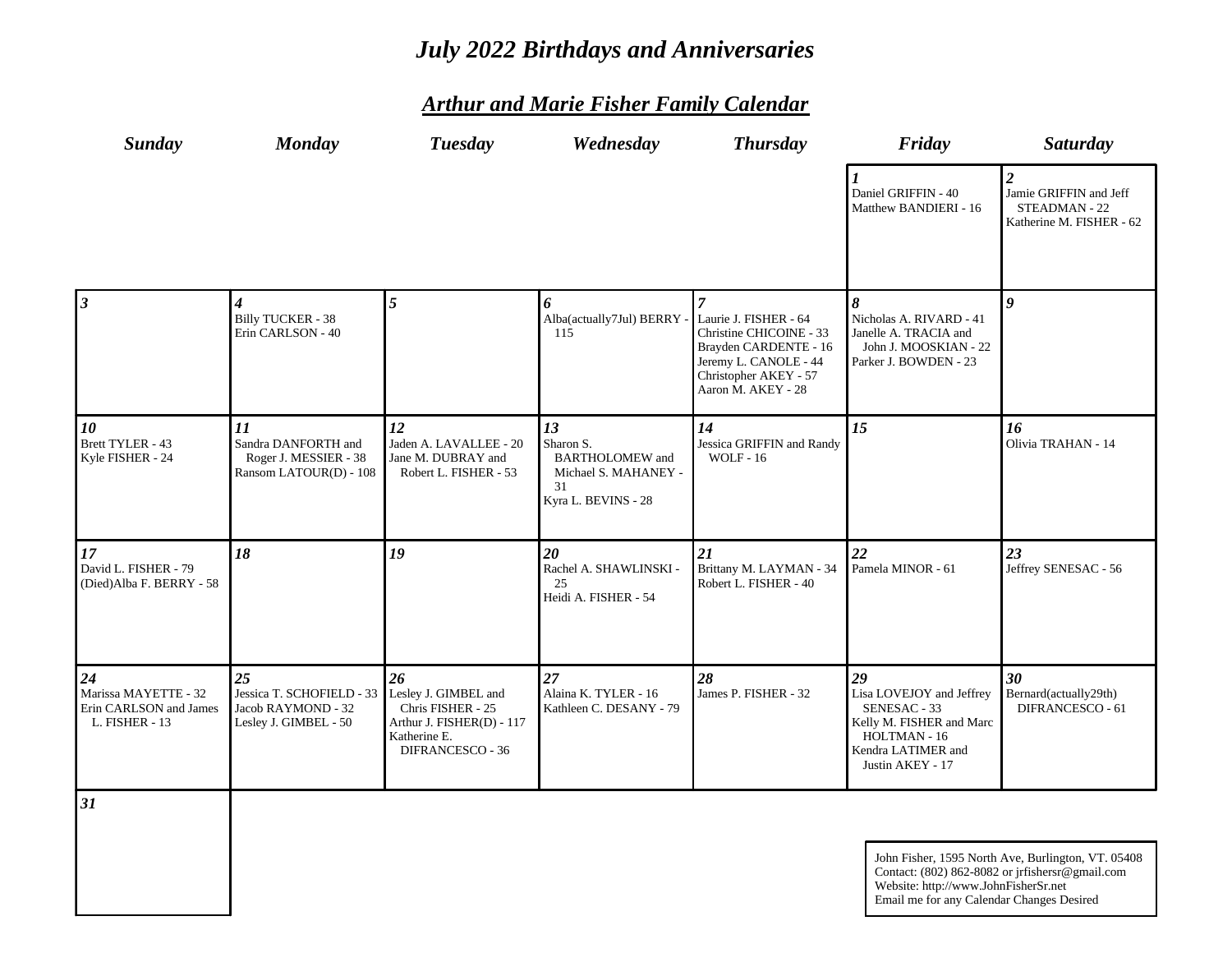# *July 2022 Birthdays and Anniversaries*

| <b>Sunday</b>                                                          | <b>Monday</b>                                                                  | <b>Tuesday</b>                                                                                                   | Wednesday                                                                                      | <b>Thursday</b>                                                                                                                                                     | Friday                                                                                                                               | <b>Saturday</b>                                                                       |
|------------------------------------------------------------------------|--------------------------------------------------------------------------------|------------------------------------------------------------------------------------------------------------------|------------------------------------------------------------------------------------------------|---------------------------------------------------------------------------------------------------------------------------------------------------------------------|--------------------------------------------------------------------------------------------------------------------------------------|---------------------------------------------------------------------------------------|
|                                                                        |                                                                                |                                                                                                                  |                                                                                                |                                                                                                                                                                     | Daniel GRIFFIN - 40<br>Matthew BANDIERI - 16                                                                                         | $\overline{2}$<br>Jamie GRIFFIN and Jeff<br>STEADMAN - 22<br>Katherine M. FISHER - 62 |
| $\mathbf{3}$                                                           | 4<br><b>Billy TUCKER - 38</b><br>Erin CARLSON - 40                             | $\overline{5}$                                                                                                   | 6<br>Alba(actually7Jul) BERRY -<br>115                                                         | $\overline{7}$<br>Laurie J. FISHER - 64<br>Christine CHICOINE - 33<br>Brayden CARDENTE - 16<br>Jeremy L. CANOLE - 44<br>Christopher AKEY - 57<br>Aaron M. AKEY - 28 | $\boldsymbol{\mathcal{S}}$<br>Nicholas A. RIVARD - 41<br>Janelle A. TRACIA and<br>John J. MOOSKIAN - 22<br>Parker J. BOWDEN - 23     | $\bf{0}$                                                                              |
| 10<br>Brett TYLER - 43<br>Kyle FISHER - 24                             | 11<br>Sandra DANFORTH and<br>Roger J. MESSIER - 38<br>Ransom LATOUR(D) - 108   | 12<br>Jaden A. LAVALLEE - 20<br>Jane M. DUBRAY and<br>Robert L. FISHER - 53                                      | 13<br>Sharon S.<br><b>BARTHOLOMEW</b> and<br>Michael S. MAHANEY -<br>31<br>Kyra L. BEVINS - 28 | 14<br>Jessica GRIFFIN and Randy<br><b>WOLF - 16</b>                                                                                                                 | 15                                                                                                                                   | 16<br>Olivia TRAHAN - 14                                                              |
| 17<br>David L. FISHER - 79<br>(Died)Alba F. BERRY - 58                 | 18                                                                             | 19                                                                                                               | 20<br>Rachel A. SHAWLINSKI -<br>25<br>Heidi A. FISHER - 54                                     | 21<br>Brittany M. LAYMAN - 34<br>Robert L. FISHER - 40                                                                                                              | 22<br>Pamela MINOR - 61                                                                                                              | 23<br>Jeffrey SENESAC - 56                                                            |
| 24<br>Marissa MAYETTE - 32<br>Erin CARLSON and James<br>L. FISHER - 13 | 25<br>Jessica T. SCHOFIELD - 33<br>Jacob RAYMOND - 32<br>Lesley J. GIMBEL - 50 | 26<br>Lesley J. GIMBEL and<br>Chris FISHER - 25<br>Arthur J. FISHER(D) - 117<br>Katherine E.<br>DIFRANCESCO - 36 | 27<br>Alaina K. TYLER - 16<br>Kathleen C. DESANY - 79                                          | 28<br>James P. FISHER - 32                                                                                                                                          | 29<br>Lisa LOVEJOY and Jeffrey<br>SENESAC - 33<br>Kelly M. FISHER and Marc<br>HOLTMAN - 16<br>Kendra LATIMER and<br>Justin AKEY - 17 | 30<br>Bernard(actually29th)<br>DIFRANCESCO - 61                                       |
| 31                                                                     |                                                                                |                                                                                                                  |                                                                                                |                                                                                                                                                                     |                                                                                                                                      |                                                                                       |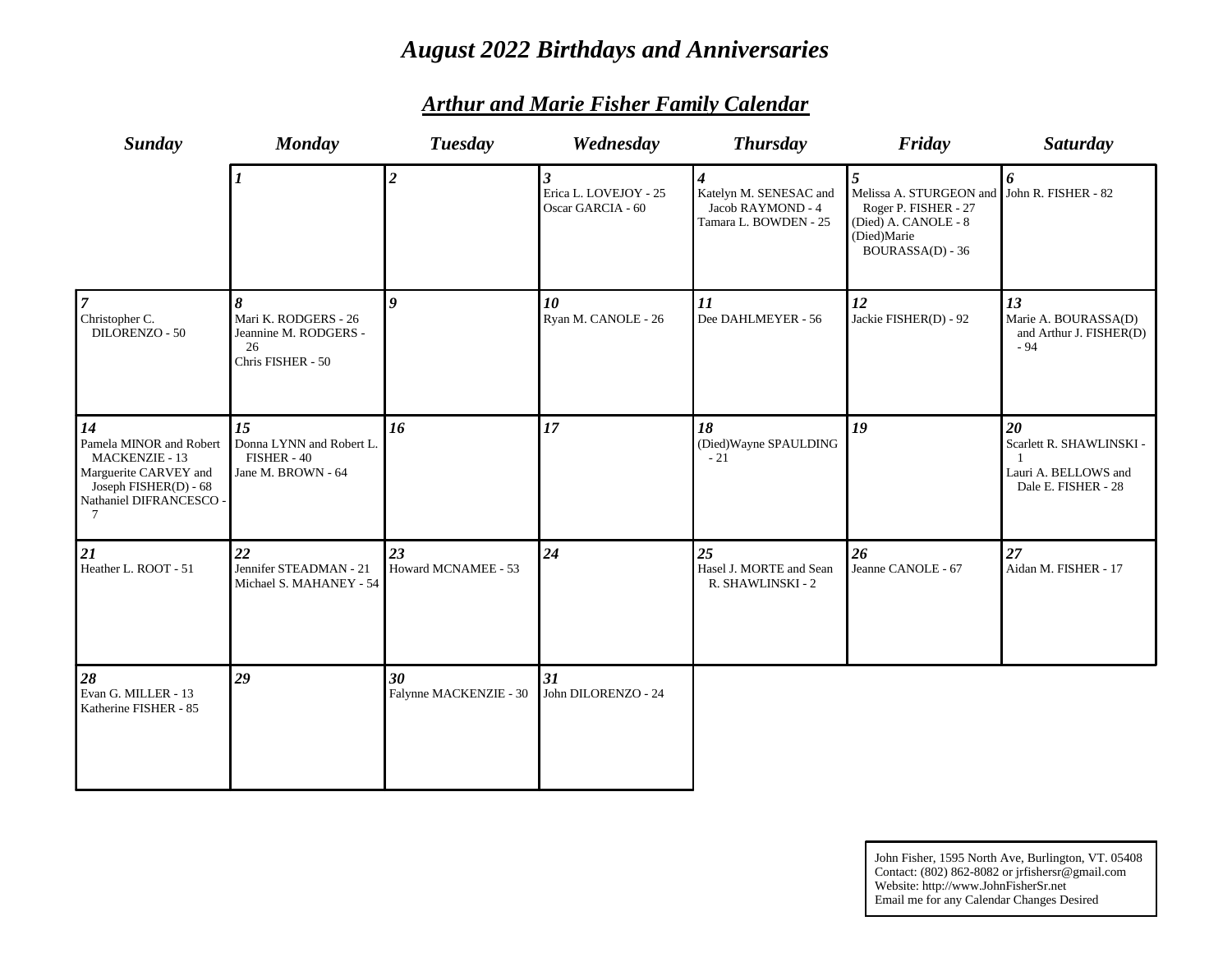# *August 2022 Birthdays and Anniversaries*

| <b>Sunday</b>                                                                                                                            | <b>Monday</b>                                                                 | <b>Tuesday</b>               | Wednesday                                                             | <b>Thursday</b>                                                      | Friday                                                                                                                              | <b>Saturday</b>                                                               |
|------------------------------------------------------------------------------------------------------------------------------------------|-------------------------------------------------------------------------------|------------------------------|-----------------------------------------------------------------------|----------------------------------------------------------------------|-------------------------------------------------------------------------------------------------------------------------------------|-------------------------------------------------------------------------------|
|                                                                                                                                          |                                                                               | $\overline{2}$               | $\overline{\mathbf{3}}$<br>Erica L. LOVEJOY - 25<br>Oscar GARCIA - 60 | Katelyn M. SENESAC and<br>Jacob RAYMOND - 4<br>Tamara L. BOWDEN - 25 | $\overline{5}$<br>Melissa A. STURGEON and<br>Roger P. FISHER - 27<br>(Died) A. CANOLE - 8<br>(Died)Marie<br><b>BOURASSA(D) - 36</b> | 6<br>John R. FISHER - 82                                                      |
| $\overline{\tau}$<br>Christopher C.<br>DILORENZO - 50                                                                                    | 8<br>Mari K. RODGERS - 26<br>Jeannine M. RODGERS -<br>26<br>Chris FISHER - 50 | $\boldsymbol{q}$             | 10<br>Ryan M. CANOLE - 26                                             | 11<br>Dee DAHLMEYER - 56                                             | 12<br>Jackie FISHER(D) - 92                                                                                                         | 13<br>Marie A. BOURASSA(D)<br>and Arthur J. FISHER(D)<br>$-94$                |
| 14<br>Pamela MINOR and Robert<br><b>MACKENZIE - 13</b><br>Marguerite CARVEY and<br>Joseph FISHER(D) - 68<br>Nathaniel DIFRANCESCO -<br>7 | 15<br>Donna LYNN and Robert L.<br>FISHER - 40<br>Jane M. BROWN - 64           | 16                           | 17                                                                    | 18<br>(Died) Wayne SPAULDING<br>$-21$                                | 19                                                                                                                                  | 20<br>Scarlett R. SHAWLINSKI -<br>Lauri A. BELLOWS and<br>Dale E. FISHER - 28 |
| 21<br>Heather L. ROOT - 51                                                                                                               | 22<br>Jennifer STEADMAN - 21<br>Michael S. MAHANEY - 54                       | 23<br>Howard MCNAMEE - 53    | 24                                                                    | 25<br>Hasel J. MORTE and Sean<br>R. SHAWLINSKI - 2                   | 26<br>Jeanne CANOLE - 67                                                                                                            | 27<br>Aidan M. FISHER - 17                                                    |
| 28<br>Evan G. MILLER - 13<br>Katherine FISHER - 85                                                                                       | 29                                                                            | 30<br>Falynne MACKENZIE - 30 | 31<br>John DILORENZO - 24                                             |                                                                      |                                                                                                                                     |                                                                               |

## *Arthur and Marie Fisher Family Calendar*

John Fisher, 1595 North Ave, Burlington, VT. 05408 Contact: (802) 862-8082 or jrfishersr@gmail.com Website: http://www.JohnFisherSr.net Email me for any Calendar Changes Desired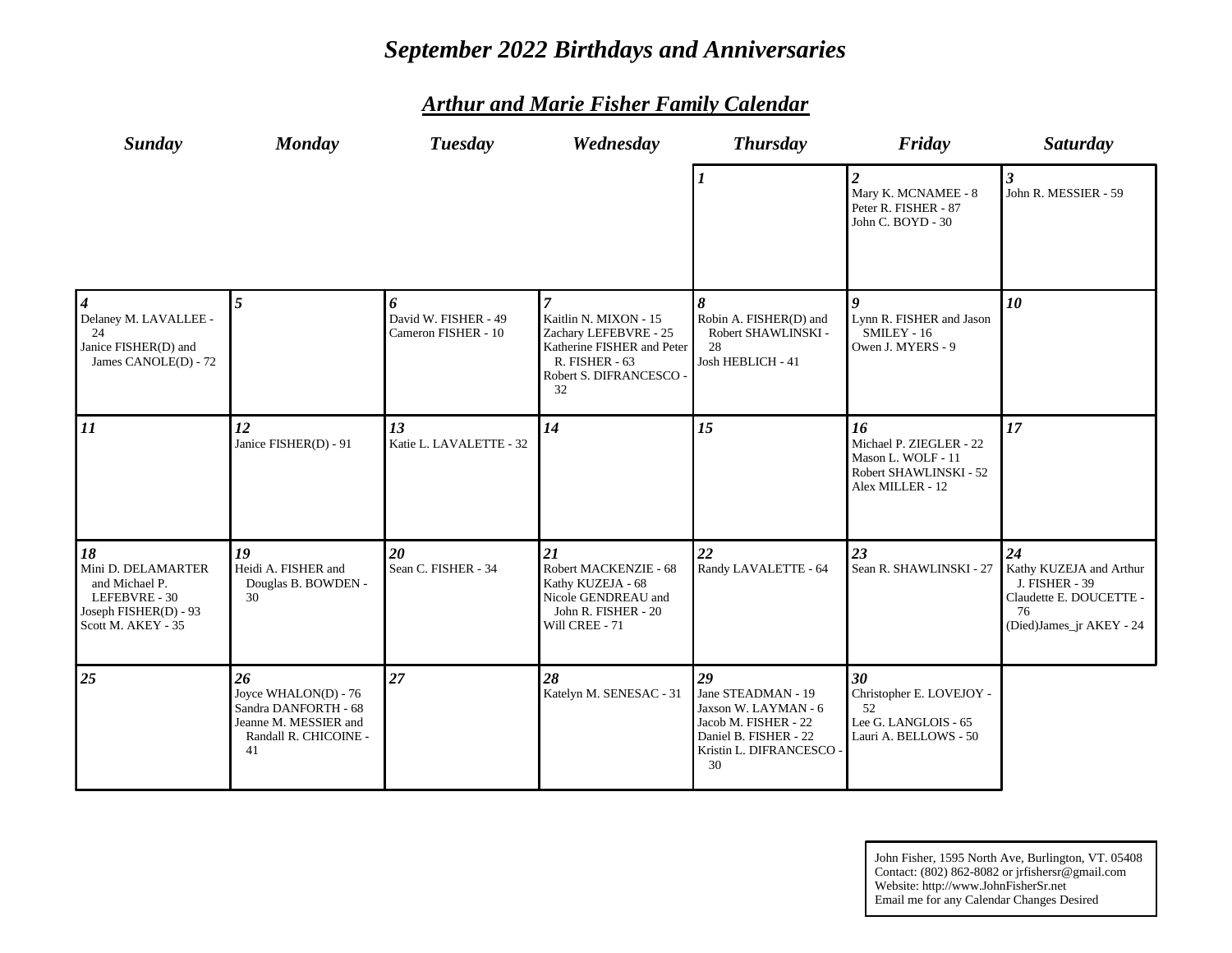# *September 2022 Birthdays and Anniversaries*

| <b>Sunday</b>                                                                                              | <b>Monday</b>                                                                                              | <b>Tuesday</b>                                   | Wednesday                                                                                                                       | <b>Thursday</b>                                                                                                                     | Friday                                                                                            | Saturday                                                                                                     |
|------------------------------------------------------------------------------------------------------------|------------------------------------------------------------------------------------------------------------|--------------------------------------------------|---------------------------------------------------------------------------------------------------------------------------------|-------------------------------------------------------------------------------------------------------------------------------------|---------------------------------------------------------------------------------------------------|--------------------------------------------------------------------------------------------------------------|
|                                                                                                            |                                                                                                            |                                                  |                                                                                                                                 |                                                                                                                                     | $\overline{2}$<br>Mary K. MCNAMEE - 8<br>Peter R. FISHER - 87<br>John C. BOYD - 30                | 3<br>John R. MESSIER - 59                                                                                    |
| 4<br>Delaney M. LAVALLEE -<br>24<br>Janice FISHER(D) and<br>James CANOLE(D) - 72                           | 5                                                                                                          | 6<br>David W. FISHER - 49<br>Cameron FISHER - 10 | Kaitlin N. MIXON - 15<br>Zachary LEFEBVRE - 25<br>Katherine FISHER and Peter<br>R. FISHER - 63<br>Robert S. DIFRANCESCO -<br>32 | 8<br>Robin A. FISHER(D) and<br>Robert SHAWLINSKI -<br>28<br>Josh HEBLICH - 41                                                       | Lynn R. FISHER and Jason<br>SMILEY - 16<br>Owen J. MYERS - 9                                      | 10                                                                                                           |
| $\overline{11}$                                                                                            | 12<br>Janice FISHER(D) - 91                                                                                | 13<br>Katie L. LAVALETTE - 32                    | 14                                                                                                                              | 15                                                                                                                                  | 16<br>Michael P. ZIEGLER - 22<br>Mason L. WOLF - 11<br>Robert SHAWLINSKI - 52<br>Alex MILLER - 12 | 17                                                                                                           |
| 18<br>Mini D. DELAMARTER<br>and Michael P.<br>LEFEBVRE - 30<br>Joseph FISHER(D) - 93<br>Scott M. AKEY - 35 | 19<br>Heidi A. FISHER and<br>Douglas B. BOWDEN -<br>30                                                     | 20<br>Sean C. FISHER - 34                        | 21<br>Robert MACKENZIE - 68<br>Kathy KUZEJA - 68<br>Nicole GENDREAU and<br>John R. FISHER - 20<br>Will CREE - 71                | 22<br>Randy LAVALETTE - 64                                                                                                          | 23<br>Sean R. SHAWLINSKI - 27                                                                     | 24<br>Kathy KUZEJA and Arthur<br>J. FISHER - 39<br>Claudette E. DOUCETTE -<br>76<br>(Died)James_jr AKEY - 24 |
| 25                                                                                                         | 26<br>Joyce WHALON(D) - 76<br>Sandra DANFORTH - 68<br>Jeanne M. MESSIER and<br>Randall R. CHICOINE -<br>41 | 27                                               | 28<br>Katelyn M. SENESAC - 31                                                                                                   | 29<br>Jane STEADMAN - 19<br>Jaxson W. LAYMAN - 6<br>Jacob M. FISHER - 22<br>Daniel B. FISHER - 22<br>Kristin L. DIFRANCESCO -<br>30 | 30<br>Christopher E. LOVEJOY -<br>52<br>Lee G. LANGLOIS - 65<br>Lauri A. BELLOWS - 50             |                                                                                                              |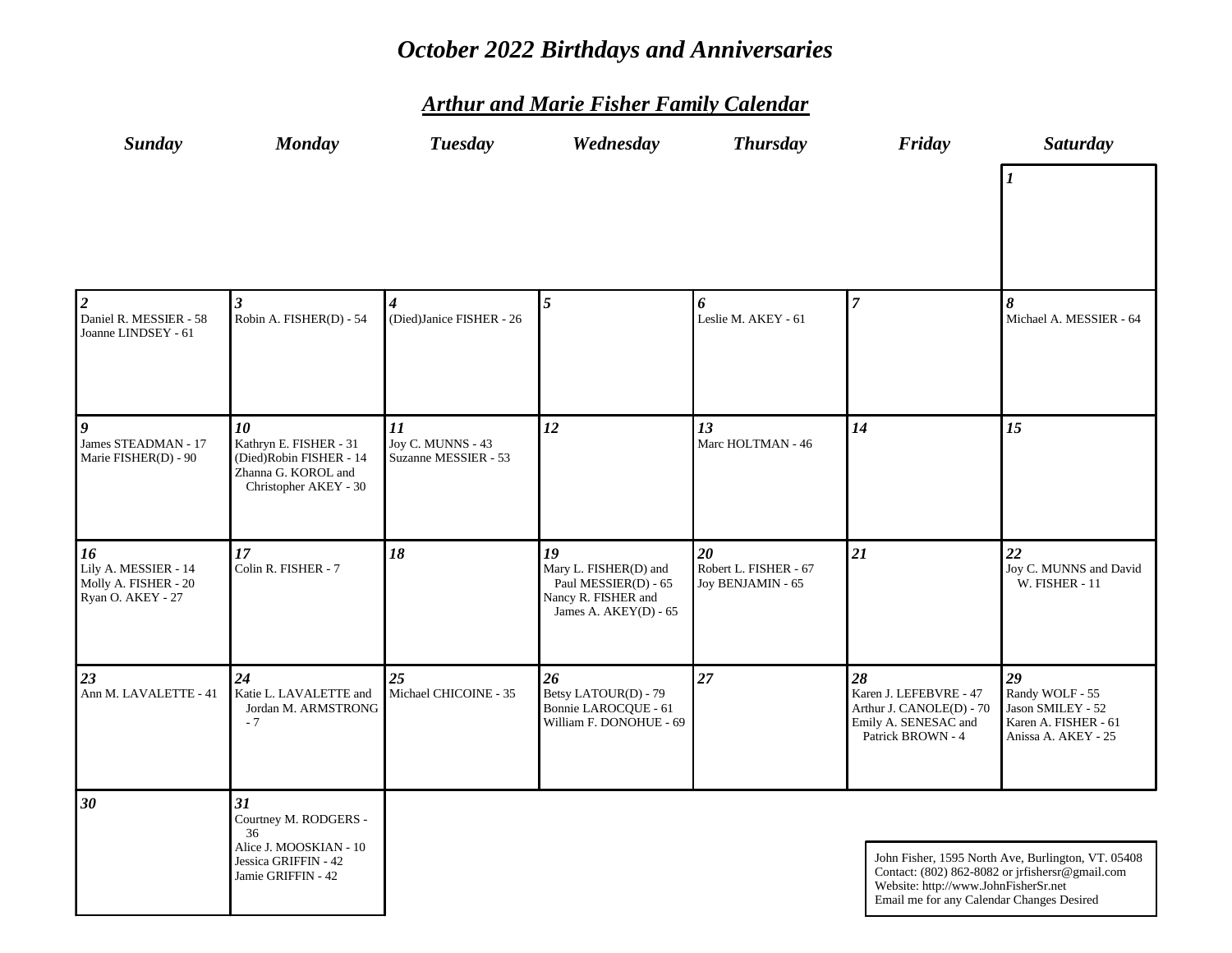# *October 2022 Birthdays and Anniversaries*

| <b>Sunday</b>                                                                                | <b>Monday</b>                                                                                             | <b>Tuesday</b>                                  | Wednesday                                                                                           | <b>Thursday</b>                                  | Friday                                                                                                | <b>Saturday</b>                                                                                       |
|----------------------------------------------------------------------------------------------|-----------------------------------------------------------------------------------------------------------|-------------------------------------------------|-----------------------------------------------------------------------------------------------------|--------------------------------------------------|-------------------------------------------------------------------------------------------------------|-------------------------------------------------------------------------------------------------------|
|                                                                                              |                                                                                                           |                                                 |                                                                                                     |                                                  |                                                                                                       |                                                                                                       |
| $\begin{cases} 2 \\ \text{Daniel R. MESSIER - 58} \\ \text{Joanne LINDSEY - 61} \end{cases}$ | $\overline{\mathbf{3}}$<br>Robin A. FISHER(D) - 54                                                        | 4<br>(Died)Janice FISHER - 26                   | $\overline{5}$                                                                                      | 6<br>Leslie M. AKEY - 61                         | $\overline{7}$                                                                                        | 8<br>Michael A. MESSIER - 64                                                                          |
| $\overline{g}$<br>James STEADMAN - 17<br>Marie FISHER(D) - 90                                | 10<br>Kathryn E. FISHER - 31<br>(Died)Robin FISHER - 14<br>Zhanna G. KOROL and<br>Christopher AKEY - 30   | 11<br>Joy C. MUNNS - 43<br>Suzanne MESSIER - 53 | 12                                                                                                  | 13<br>Marc HOLTMAN - 46                          | 14                                                                                                    | 15                                                                                                    |
| $\overline{16}$<br>Lily A. MESSIER - 14<br>Molly A. FISHER - 20<br>Ryan O. AKEY - 27         | 17<br>Colin R. FISHER - 7                                                                                 | 18                                              | 19<br>Mary L. FISHER(D) and<br>Paul MESSIER(D) - 65<br>Nancy R. FISHER and<br>James A. AKEY(D) - 65 | 20<br>Robert L. FISHER - 67<br>Joy BENJAMIN - 65 | 21                                                                                                    | 22<br>Joy C. MUNNS and David<br><b>W. FISHER - 11</b>                                                 |
| $\overline{23}$<br>Ann M. LAVALETTE - 41                                                     | 24<br>Katie L. LAVALETTE and<br>Jordan M. ARMSTRONG<br>$-7$                                               | 25<br>Michael CHICOINE - 35                     | 26<br>Betsy LATOUR(D) - 79<br>Bonnie LAROCQUE - 61<br>William F. DONOHUE - 69                       | 27                                               | 28<br>Karen J. LEFEBVRE - 47<br>Arthur J. CANOLE(D) - 70<br>Emily A. SENESAC and<br>Patrick BROWN - 4 | 29<br>Randy WOLF - 55<br>Jason SMILEY - 52<br>Karen A. FISHER - 61<br>Anissa A. AKEY - 25             |
| 30                                                                                           | 31<br>Courtney M. RODGERS -<br>36<br>Alice J. MOOSKIAN - 10<br>Jessica GRIFFIN - 42<br>Jamie GRIFFIN - 42 |                                                 |                                                                                                     |                                                  | Website: http://www.JohnFisherSr.net<br>Email me for any Calendar Changes Desired                     | John Fisher, 1595 North Ave, Burlington, VT. 05408<br>Contact: (802) 862-8082 or jrfishersr@gmail.com |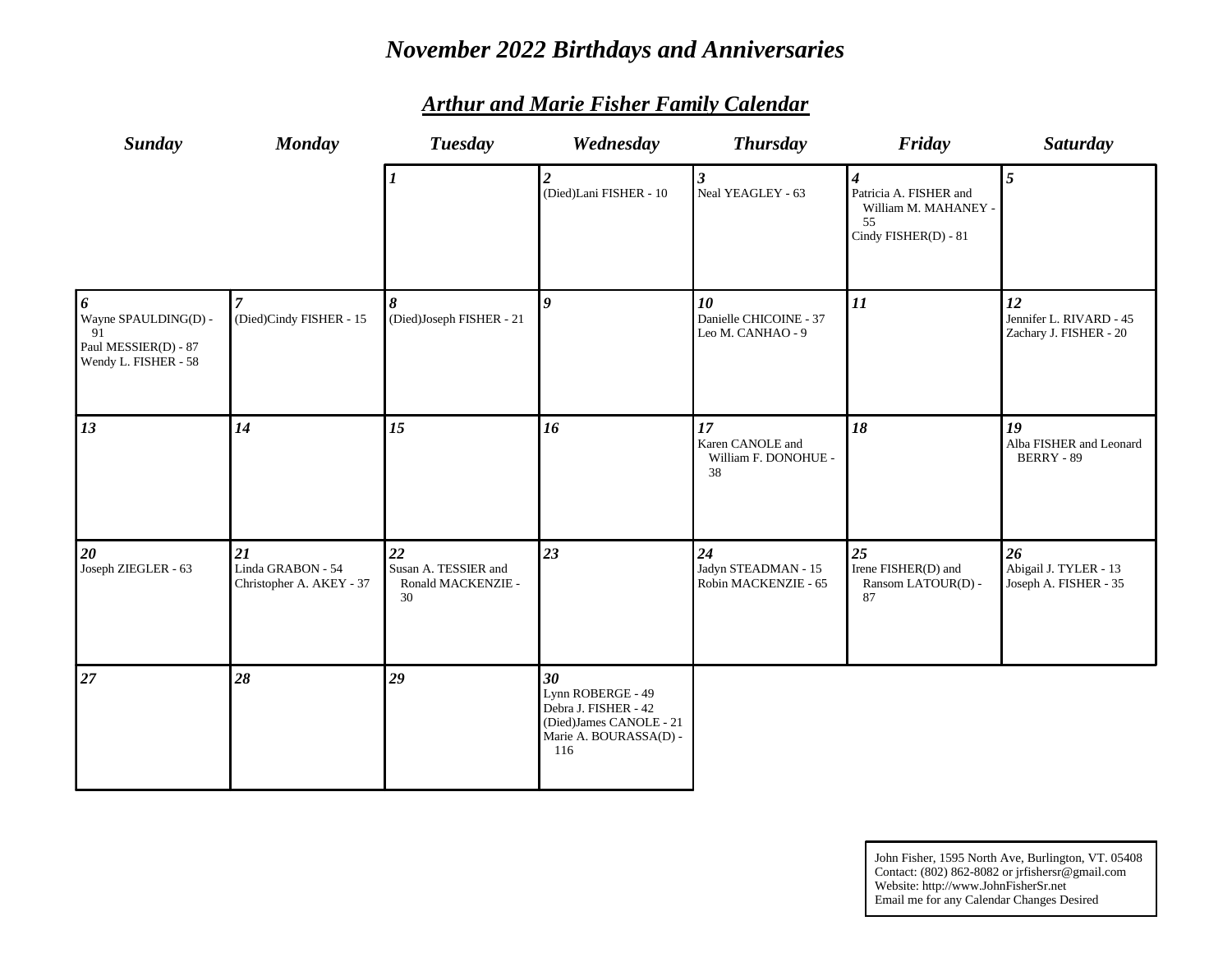# *November 2022 Birthdays and Anniversaries*

| <b>Sunday</b>                                                                   | <b>Monday</b>                                       | <b>Tuesday</b>                                         | Wednesday                                                                                                   | <b>Thursday</b>                                      | Friday                                                                                           | Saturday                                                |
|---------------------------------------------------------------------------------|-----------------------------------------------------|--------------------------------------------------------|-------------------------------------------------------------------------------------------------------------|------------------------------------------------------|--------------------------------------------------------------------------------------------------|---------------------------------------------------------|
|                                                                                 |                                                     | $\boldsymbol{l}$                                       | $\boldsymbol{2}$<br>(Died)Lani FISHER - 10                                                                  | $\boldsymbol{\beta}$<br>Neal YEAGLEY - 63            | $\boldsymbol{4}$<br>Patricia A. FISHER and<br>William M. MAHANEY -<br>55<br>Cindy FISHER(D) - 81 | $5\overline{)}$                                         |
| 6<br>Wayne SPAULDING(D) -<br>91<br>Paul MESSIER(D) - 87<br>Wendy L. FISHER - 58 | (Died)Cindy FISHER - 15                             | 8<br>(Died)Joseph FISHER - 21                          | $\boldsymbol{q}$                                                                                            | 10<br>Danielle CHICOINE - 37<br>Leo M. CANHAO - 9    | 11                                                                                               | 12<br>Jennifer L. RIVARD - 45<br>Zachary J. FISHER - 20 |
| 13                                                                              | 14                                                  | 15                                                     | 16                                                                                                          | 17<br>Karen CANOLE and<br>William F. DONOHUE -<br>38 | 18                                                                                               | 19<br>Alba FISHER and Leonard<br><b>BERRY - 89</b>      |
| 20<br>Joseph ZIEGLER - 63                                                       | 21<br>Linda GRABON - 54<br>Christopher A. AKEY - 37 | 22<br>Susan A. TESSIER and<br>Ronald MACKENZIE -<br>30 | 23                                                                                                          | 24<br>Jadyn STEADMAN - 15<br>Robin MACKENZIE - 65    | 25<br>Irene FISHER(D) and<br>Ransom LATOUR(D) -<br>87                                            | 26<br>Abigail J. TYLER - 13<br>Joseph A. FISHER - 35    |
| 27                                                                              | 28                                                  | 29                                                     | 30<br>Lynn ROBERGE - 49<br>Debra J. FISHER - 42<br>(Died)James CANOLE - 21<br>Marie A. BOURASSA(D) -<br>116 |                                                      |                                                                                                  |                                                         |

#### *Arthur and Marie Fisher Family Calendar*

John Fisher, 1595 North Ave, Burlington, VT. 05408 Contact: (802) 862-8082 or jrfishersr@gmail.com Website: http://www.JohnFisherSr.net Email me for any Calendar Changes Desired